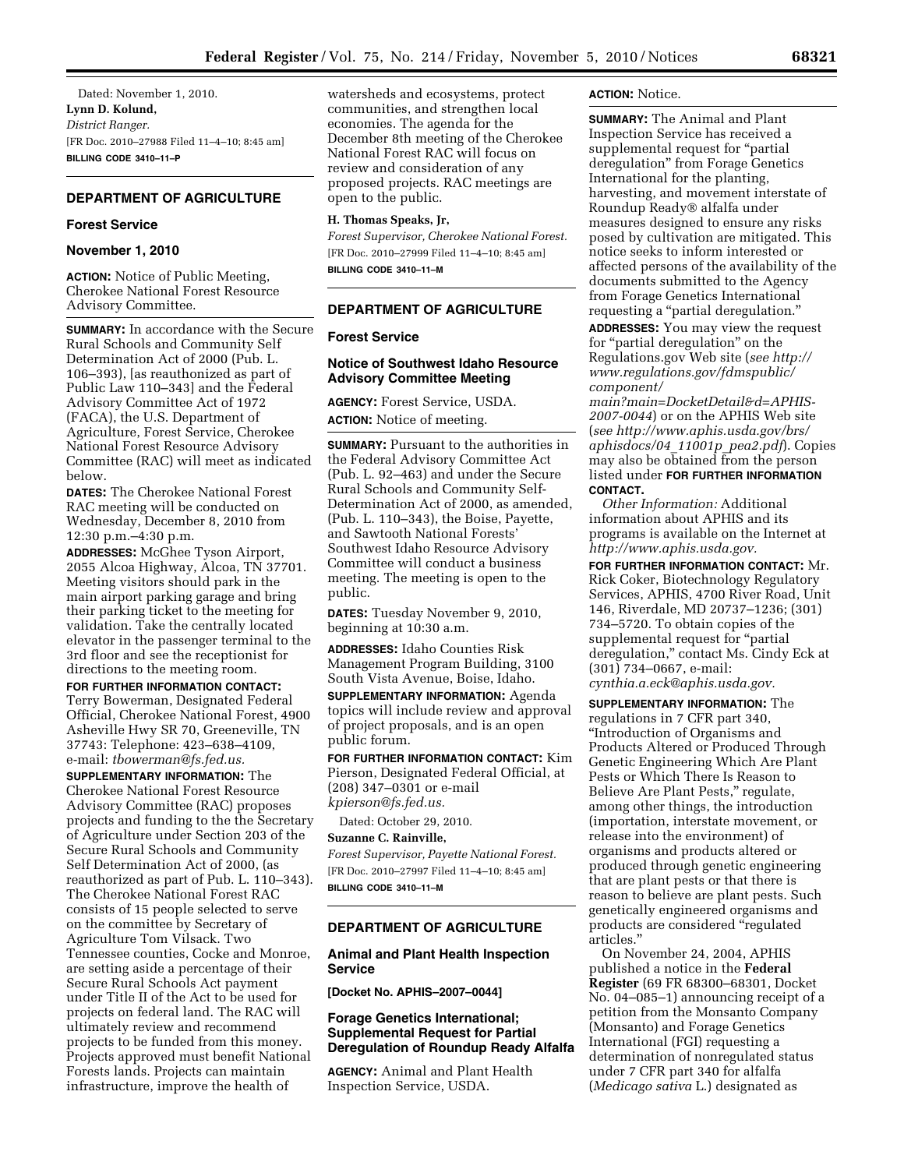Dated: November 1, 2010. **Lynn D. Kolund,**  *District Ranger.*  [FR Doc. 2010–27988 Filed 11–4–10; 8:45 am] **BILLING CODE 3410–11–P** 

# **DEPARTMENT OF AGRICULTURE**

## **Forest Service**

## **November 1, 2010**

**ACTION:** Notice of Public Meeting, Cherokee National Forest Resource Advisory Committee.

**SUMMARY:** In accordance with the Secure Rural Schools and Community Self Determination Act of 2000 (Pub. L. 106–393), [as reauthonized as part of Public Law 110–343] and the Federal Advisory Committee Act of 1972 (FACA), the U.S. Department of Agriculture, Forest Service, Cherokee National Forest Resource Advisory Committee (RAC) will meet as indicated below.

**DATES:** The Cherokee National Forest RAC meeting will be conducted on Wednesday, December 8, 2010 from 12:30 p.m.–4:30 p.m.

**ADDRESSES:** McGhee Tyson Airport, 2055 Alcoa Highway, Alcoa, TN 37701. Meeting visitors should park in the main airport parking garage and bring their parking ticket to the meeting for validation. Take the centrally located elevator in the passenger terminal to the 3rd floor and see the receptionist for directions to the meeting room.

**FOR FURTHER INFORMATION CONTACT:**  Terry Bowerman, Designated Federal Official, Cherokee National Forest, 4900 Asheville Hwy SR 70, Greeneville, TN 37743: Telephone: 423–638–4109, e-mail: *[tbowerman@fs.fed.us.](mailto:tbowerman@fs.fed.us)* 

**SUPPLEMENTARY INFORMATION:** The Cherokee National Forest Resource Advisory Committee (RAC) proposes projects and funding to the the Secretary of Agriculture under Section 203 of the Secure Rural Schools and Community Self Determination Act of 2000, (as reauthorized as part of Pub. L. 110–343). The Cherokee National Forest RAC consists of 15 people selected to serve on the committee by Secretary of Agriculture Tom Vilsack. Two Tennessee counties, Cocke and Monroe, are setting aside a percentage of their Secure Rural Schools Act payment under Title II of the Act to be used for projects on federal land. The RAC will ultimately review and recommend projects to be funded from this money. Projects approved must benefit National Forests lands. Projects can maintain infrastructure, improve the health of

watersheds and ecosystems, protect communities, and strengthen local economies. The agenda for the December 8th meeting of the Cherokee National Forest RAC will focus on review and consideration of any proposed projects. RAC meetings are open to the public.

#### **H. Thomas Speaks, Jr,**

*Forest Supervisor, Cherokee National Forest.*  [FR Doc. 2010–27999 Filed 11–4–10; 8:45 am] **BILLING CODE 3410–11–M** 

## **DEPARTMENT OF AGRICULTURE**

# **Forest Service**

# **Notice of Southwest Idaho Resource Advisory Committee Meeting**

**AGENCY:** Forest Service, USDA. **ACTION:** Notice of meeting.

**SUMMARY:** Pursuant to the authorities in the Federal Advisory Committee Act (Pub. L. 92–463) and under the Secure Rural Schools and Community Self-Determination Act of 2000, as amended, (Pub. L. 110–343), the Boise, Payette, and Sawtooth National Forests' Southwest Idaho Resource Advisory Committee will conduct a business meeting. The meeting is open to the public.

**DATES:** Tuesday November 9, 2010, beginning at 10:30 a.m.

**ADDRESSES:** Idaho Counties Risk Management Program Building, 3100 South Vista Avenue, Boise, Idaho.

**SUPPLEMENTARY INFORMATION:** Agenda topics will include review and approval of project proposals, and is an open public forum.

**FOR FURTHER INFORMATION CONTACT:** Kim Pierson, Designated Federal Official, at (208) 347–0301 or e-mail *[kpierson@fs.fed.us.](mailto:kpierson@fs.fed.us)* 

Dated: October 29, 2010.

#### **Suzanne C. Rainville,**

*Forest Supervisor, Payette National Forest.*  [FR Doc. 2010–27997 Filed 11–4–10; 8:45 am] **BILLING CODE 3410–11–M** 

#### **DEPARTMENT OF AGRICULTURE**

### **Animal and Plant Health Inspection Service**

**[Docket No. APHIS–2007–0044]** 

# **Forage Genetics International; Supplemental Request for Partial Deregulation of Roundup Ready Alfalfa**

**AGENCY:** Animal and Plant Health Inspection Service, USDA.

## **ACTION:** Notice.

**SUMMARY:** The Animal and Plant Inspection Service has received a supplemental request for "partial deregulation'' from Forage Genetics International for the planting, harvesting, and movement interstate of Roundup Ready® alfalfa under measures designed to ensure any risks posed by cultivation are mitigated. This notice seeks to inform interested or affected persons of the availability of the documents submitted to the Agency from Forage Genetics International requesting a "partial deregulation."

**ADDRESSES:** You may view the request for "partial deregulation" on the Regulations.gov Web site (*see [http://](http://www.regulations.gov/fdmspublic/component/main?main=DocketDetail&d=APHIS-2007-0044)  [www.regulations.gov/fdmspublic/](http://www.regulations.gov/fdmspublic/component/main?main=DocketDetail&d=APHIS-2007-0044)  [component/](http://www.regulations.gov/fdmspublic/component/main?main=DocketDetail&d=APHIS-2007-0044)* 

*[main?main=DocketDetail&d=APHIS-](http://www.regulations.gov/fdmspublic/component/main?main=DocketDetail&d=APHIS-2007-0044)[2007-0044](http://www.regulations.gov/fdmspublic/component/main?main=DocketDetail&d=APHIS-2007-0044)*) or on the APHIS Web site (*see [http://www.aphis.usda.gov/brs/](http://www.aphis.usda.gov/brs/aphisdocs/04_11001p_pea2.pdf) [aphisdocs/04](http://www.aphis.usda.gov/brs/aphisdocs/04_11001p_pea2.pdf)*\_*11001p*\_*pea2.pdf*). Copies may also be obtained from the person listed under **FOR FURTHER INFORMATION CONTACT.** 

*Other Information:* Additional information about APHIS and its programs is available on the Internet at *[http://www.aphis.usda.gov.](http://www.aphis.usda.gov)* 

**FOR FURTHER INFORMATION CONTACT:** Mr. Rick Coker, Biotechnology Regulatory Services, APHIS, 4700 River Road, Unit 146, Riverdale, MD 20737–1236; (301) 734–5720. To obtain copies of the supplemental request for "partial deregulation,'' contact Ms. Cindy Eck at (301) 734–0667, e-mail: *[cynthia.a.eck@aphis.usda.gov.](mailto:cynthia.a.eck@aphis.usda.gov)* 

**SUPPLEMENTARY INFORMATION:** The regulations in 7 CFR part 340, ''Introduction of Organisms and Products Altered or Produced Through Genetic Engineering Which Are Plant Pests or Which There Is Reason to Believe Are Plant Pests,'' regulate, among other things, the introduction (importation, interstate movement, or release into the environment) of organisms and products altered or produced through genetic engineering that are plant pests or that there is reason to believe are plant pests. Such genetically engineered organisms and products are considered ''regulated articles.''

On November 24, 2004, APHIS published a notice in the **Federal Register** (69 FR 68300–68301, Docket No. 04–085–1) announcing receipt of a petition from the Monsanto Company (Monsanto) and Forage Genetics International (FGI) requesting a determination of nonregulated status under 7 CFR part 340 for alfalfa (*Medicago sativa* L.) designated as